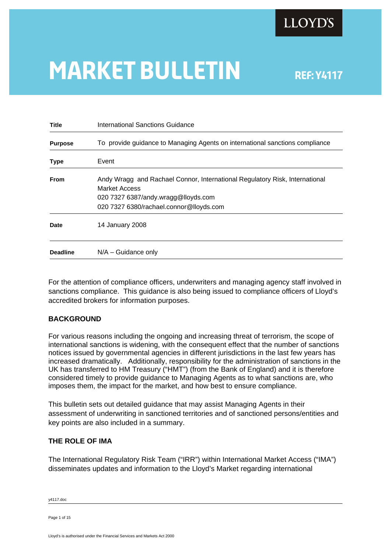

# **MARKET BULLETIN** REF: Y4117

| <b>Title</b>    | International Sanctions Guidance                                                             |  |  |
|-----------------|----------------------------------------------------------------------------------------------|--|--|
| <b>Purpose</b>  | To provide guidance to Managing Agents on international sanctions compliance                 |  |  |
| <b>Type</b>     | Event                                                                                        |  |  |
| <b>From</b>     | Andy Wragg and Rachael Connor, International Regulatory Risk, International<br>Market Access |  |  |
|                 | 020 7327 6387/andy.wragg@lloyds.com                                                          |  |  |
|                 | 020 7327 6380/rachael.connor@lloyds.com                                                      |  |  |
| <b>Date</b>     | 14 January 2008                                                                              |  |  |
| <b>Deadline</b> | $N/A -$ Guidance only                                                                        |  |  |
|                 |                                                                                              |  |  |

For the attention of compliance officers, underwriters and managing agency staff involved in sanctions compliance. This guidance is also being issued to compliance officers of Lloyd's accredited brokers for information purposes.

## **BACKGROUND**

For various reasons including the ongoing and increasing threat of terrorism, the scope of international sanctions is widening, with the consequent effect that the number of sanctions notices issued by governmental agencies in different jurisdictions in the last few years has increased dramatically. Additionally, responsibility for the administration of sanctions in the UK has transferred to HM Treasury ("HMT") (from the Bank of England) and it is therefore considered timely to provide guidance to Managing Agents as to what sanctions are, who imposes them, the impact for the market, and how best to ensure compliance.

This bulletin sets out detailed guidance that may assist Managing Agents in their assessment of underwriting in sanctioned territories and of sanctioned persons/entities and key points are also included in a summary.

## **THE ROLE OF IMA**

The International Regulatory Risk Team ("IRR") within International Market Access ("IMA") disseminates updates and information to the Lloyd's Market regarding international

y4117.doc

Page 1 of 15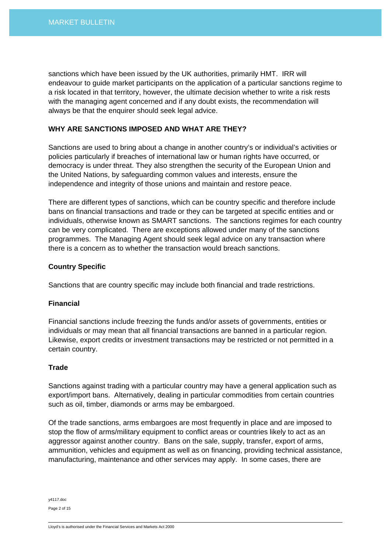sanctions which have been issued by the UK authorities, primarily HMT. IRR will endeavour to guide market participants on the application of a particular sanctions regime to a risk located in that territory, however, the ultimate decision whether to write a risk rests with the managing agent concerned and if any doubt exists, the recommendation will always be that the enquirer should seek legal advice.

#### **WHY ARE SANCTIONS IMPOSED AND WHAT ARE THEY?**

Sanctions are used to bring about a change in another country's or individual's activities or policies particularly if breaches of international law or human rights have occurred, or democracy is under threat. They also strengthen the security of the European Union and the United Nations, by safeguarding common values and interests, ensure the independence and integrity of those unions and maintain and restore peace.

There are different types of sanctions, which can be country specific and therefore include bans on financial transactions and trade or they can be targeted at specific entities and or individuals, otherwise known as SMART sanctions. The sanctions regimes for each country can be very complicated. There are exceptions allowed under many of the sanctions programmes. The Managing Agent should seek legal advice on any transaction where there is a concern as to whether the transaction would breach sanctions.

## **Country Specific**

Sanctions that are country specific may include both financial and trade restrictions.

## **Financial**

Financial sanctions include freezing the funds and/or assets of governments, entities or individuals or may mean that all financial transactions are banned in a particular region. Likewise, export credits or investment transactions may be restricted or not permitted in a certain country.

#### **Trade**

Sanctions against trading with a particular country may have a general application such as export/import bans. Alternatively, dealing in particular commodities from certain countries such as oil, timber, diamonds or arms may be embargoed.

Of the trade sanctions, arms embargoes are most frequently in place and are imposed to stop the flow of arms/military equipment to conflict areas or countries likely to act as an aggressor against another country. Bans on the sale, supply, transfer, export of arms, ammunition, vehicles and equipment as well as on financing, providing technical assistance, manufacturing, maintenance and other services may apply. In some cases, there are

y4117.doc Page 2 of 15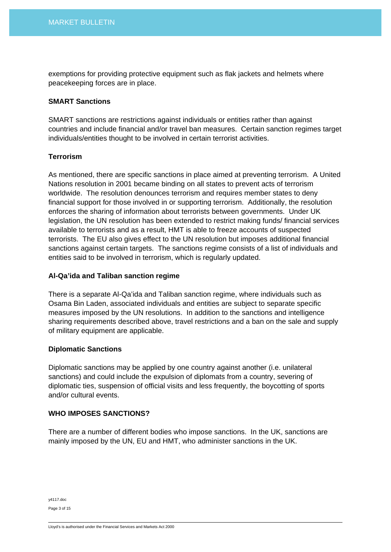exemptions for providing protective equipment such as flak jackets and helmets where peacekeeping forces are in place.

#### **SMART Sanctions**

SMART sanctions are restrictions against individuals or entities rather than against countries and include financial and/or travel ban measures. Certain sanction regimes target individuals/entities thought to be involved in certain terrorist activities.

## **Terrorism**

As mentioned, there are specific sanctions in place aimed at preventing terrorism. A United Nations resolution in 2001 became binding on all states to prevent acts of terrorism worldwide. The resolution denounces terrorism and requires member states to deny financial support for those involved in or supporting terrorism. Additionally, the resolution enforces the sharing of information about terrorists between governments. Under UK legislation, the UN resolution has been extended to restrict making funds/ financial services available to terrorists and as a result, HMT is able to freeze accounts of suspected terrorists. The EU also gives effect to the UN resolution but imposes additional financial sanctions against certain targets. The sanctions regime consists of a list of individuals and entities said to be involved in terrorism, which is regularly updated.

#### **Al-Qa'ida and Taliban sanction regime**

There is a separate Al-Qa'ida and Taliban sanction regime, where individuals such as Osama Bin Laden, associated individuals and entities are subject to separate specific measures imposed by the UN resolutions. In addition to the sanctions and intelligence sharing requirements described above, travel restrictions and a ban on the sale and supply of military equipment are applicable.

#### **Diplomatic Sanctions**

Diplomatic sanctions may be applied by one country against another (i.e. unilateral sanctions) and could include the expulsion of diplomats from a country, severing of diplomatic ties, suspension of official visits and less frequently, the boycotting of sports and/or cultural events.

## **WHO IMPOSES SANCTIONS?**

There are a number of different bodies who impose sanctions. In the UK, sanctions are mainly imposed by the UN, EU and HMT, who administer sanctions in the UK.

y4117.doc Page 3 of 15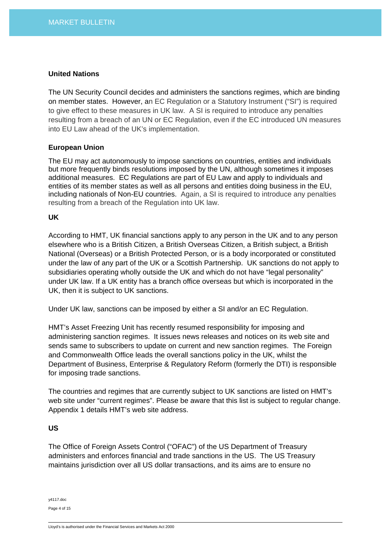#### **United Nations**

The UN Security Council decides and administers the sanctions regimes, which are binding on member states. However, an EC Regulation or a Statutory Instrument ("SI") is required to give effect to these measures in UK law. A SI is required to introduce any penalties resulting from a breach of an UN or EC Regulation, even if the EC introduced UN measures into EU Law ahead of the UK's implementation.

## **European Union**

The EU may act autonomously to impose sanctions on countries, entities and individuals but more frequently binds resolutions imposed by the UN, although sometimes it imposes additional measures. EC Regulations are part of EU Law and apply to individuals and entities of its member states as well as all persons and entities doing business in the EU, including nationals of Non-EU countries. Again, a SI is required to introduce any penalties resulting from a breach of the Regulation into UK law.

## **UK**

According to HMT, UK financial sanctions apply to any person in the UK and to any person elsewhere who is a British Citizen, a British Overseas Citizen, a British subject, a British National (Overseas) or a British Protected Person, or is a body incorporated or constituted under the law of any part of the UK or a Scottish Partnership. UK sanctions do not apply to subsidiaries operating wholly outside the UK and which do not have "legal personality" under UK law. If a UK entity has a branch office overseas but which is incorporated in the UK, then it is subject to UK sanctions.

Under UK law, sanctions can be imposed by either a SI and/or an EC Regulation.

HMT's Asset Freezing Unit has recently resumed responsibility for imposing and administering sanction regimes. It issues news releases and notices on its web site and sends same to subscribers to update on current and new sanction regimes. The Foreign and Commonwealth Office leads the overall sanctions policy in the UK, whilst the Department of Business, Enterprise & Regulatory Reform (formerly the DTI) is responsible for imposing trade sanctions.

The countries and regimes that are currently subject to UK sanctions are listed on HMT's web site under "current regimes". Please be aware that this list is subject to regular change. Appendix 1 details HMT's web site address.

#### **US**

The Office of Foreign Assets Control ("OFAC") of the US Department of Treasury administers and enforces financial and trade sanctions in the US. The US Treasury maintains jurisdiction over all US dollar transactions, and its aims are to ensure no

y4117.doc Page 4 of 15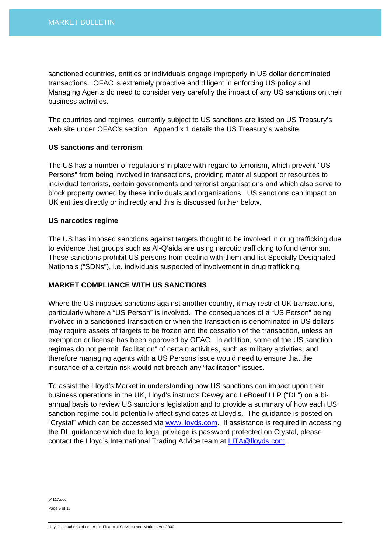sanctioned countries, entities or individuals engage improperly in US dollar denominated transactions. OFAC is extremely proactive and diligent in enforcing US policy and Managing Agents do need to consider very carefully the impact of any US sanctions on their business activities.

The countries and regimes, currently subject to US sanctions are listed on US Treasury's web site under OFAC's section. Appendix 1 details the US Treasury's website.

## **US sanctions and terrorism**

The US has a number of regulations in place with regard to terrorism, which prevent "US Persons" from being involved in transactions, providing material support or resources to individual terrorists, certain governments and terrorist organisations and which also serve to block property owned by these individuals and organisations. US sanctions can impact on UK entities directly or indirectly and this is discussed further below.

## **US narcotics regime**

The US has imposed sanctions against targets thought to be involved in drug trafficking due to evidence that groups such as Al-Q'aida are using narcotic trafficking to fund terrorism. These sanctions prohibit US persons from dealing with them and list Specially Designated Nationals ("SDNs"), i.e. individuals suspected of involvement in drug trafficking.

## **MARKET COMPLIANCE WITH US SANCTIONS**

Where the US imposes sanctions against another country, it may restrict UK transactions, particularly where a "US Person" is involved. The consequences of a "US Person" being involved in a sanctioned transaction or when the transaction is denominated in US dollars may require assets of targets to be frozen and the cessation of the transaction, unless an exemption or license has been approved by OFAC. In addition, some of the US sanction regimes do not permit "facilitation" of certain activities, such as military activities, and therefore managing agents with a US Persons issue would need to ensure that the insurance of a certain risk would not breach any "facilitation" issues.

To assist the Lloyd's Market in understanding how US sanctions can impact upon their business operations in the UK, Lloyd's instructs Dewey and LeBoeuf LLP ("DL") on a biannual basis to review US sanctions legislation and to provide a summary of how each US sanction regime could potentially affect syndicates at Lloyd's. The guidance is posted on "Crystal" which can be accessed via [www.lloyds.com](http://www.lloyds.com/). If assistance is required in accessing the DL guidance which due to legal privilege is password protected on Crystal, please contact the Lloyd's International Trading Advice team at [LITA@lloyds.com.](mailto:LITA@lloyds.com)

y4117.doc Page 5 of 15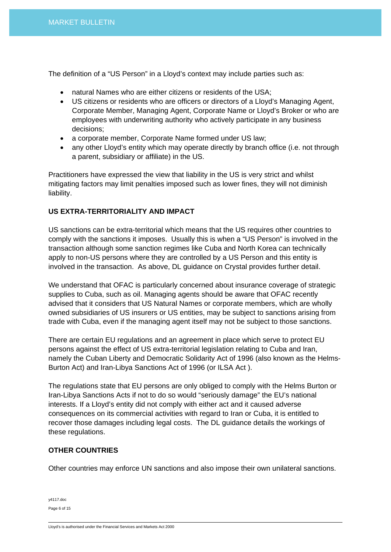The definition of a "US Person" in a Lloyd's context may include parties such as:

- natural Names who are either citizens or residents of the USA;
- US citizens or residents who are officers or directors of a Lloyd's Managing Agent, Corporate Member, Managing Agent, Corporate Name or Lloyd's Broker or who are employees with underwriting authority who actively participate in any business decisions;
- a corporate member, Corporate Name formed under US law;
- any other Lloyd's entity which may operate directly by branch office (i.e. not through a parent, subsidiary or affiliate) in the US.

Practitioners have expressed the view that liability in the US is very strict and whilst mitigating factors may limit penalties imposed such as lower fines, they will not diminish liability.

## **US EXTRA-TERRITORIALITY AND IMPACT**

US sanctions can be extra-territorial which means that the US requires other countries to comply with the sanctions it imposes. Usually this is when a "US Person" is involved in the transaction although some sanction regimes like Cuba and North Korea can technically apply to non-US persons where they are controlled by a US Person and this entity is involved in the transaction. As above, DL guidance on Crystal provides further detail.

We understand that OFAC is particularly concerned about insurance coverage of strategic supplies to Cuba, such as oil. Managing agents should be aware that OFAC recently advised that it considers that US Natural Names or corporate members, which are wholly owned subsidiaries of US insurers or US entities, may be subject to sanctions arising from trade with Cuba, even if the managing agent itself may not be subject to those sanctions.

There are certain EU regulations and an agreement in place which serve to protect EU persons against the effect of US extra-territorial legislation relating to Cuba and Iran, namely the Cuban Liberty and Democratic Solidarity Act of 1996 (also known as the Helms-Burton Act) and Iran-Libya Sanctions Act of 1996 (or ILSA Act ).

The regulations state that EU persons are only obliged to comply with the Helms Burton or Iran-Libya Sanctions Acts if not to do so would "seriously damage" the EU's national interests. If a Lloyd's entity did not comply with either act and it caused adverse consequences on its commercial activities with regard to Iran or Cuba, it is entitled to recover those damages including legal costs. The DL guidance details the workings of these regulations.

## **OTHER COUNTRIES**

Other countries may enforce UN sanctions and also impose their own unilateral sanctions.

| y4117.doc    |  |  |
|--------------|--|--|
| Page 6 of 15 |  |  |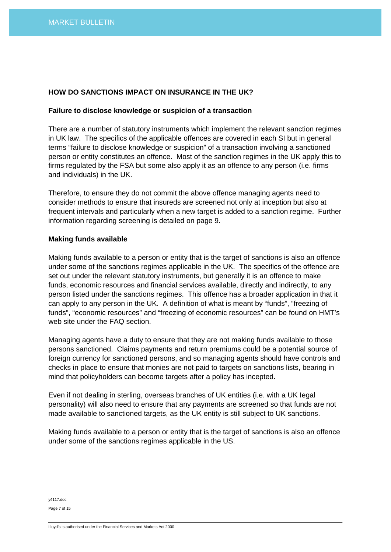## **HOW DO SANCTIONS IMPACT ON INSURANCE IN THE UK?**

#### **Failure to disclose knowledge or suspicion of a transaction**

There are a number of statutory instruments which implement the relevant sanction regimes in UK law. The specifics of the applicable offences are covered in each SI but in general terms "failure to disclose knowledge or suspicion" of a transaction involving a sanctioned person or entity constitutes an offence. Most of the sanction regimes in the UK apply this to firms regulated by the FSA but some also apply it as an offence to any person (i.e. firms and individuals) in the UK.

Therefore, to ensure they do not commit the above offence managing agents need to consider methods to ensure that insureds are screened not only at inception but also at frequent intervals and particularly when a new target is added to a sanction regime. Further information regarding screening is detailed on page 9.

#### **Making funds available**

Making funds available to a person or entity that is the target of sanctions is also an offence under some of the sanctions regimes applicable in the UK. The specifics of the offence are set out under the relevant statutory instruments, but generally it is an offence to make funds, economic resources and financial services available, directly and indirectly, to any person listed under the sanctions regimes. This offence has a broader application in that it can apply to any person in the UK. A definition of what is meant by "funds", "freezing of funds", "economic resources" and "freezing of economic resources" can be found on HMT's web site under the FAQ section.

Managing agents have a duty to ensure that they are not making funds available to those persons sanctioned. Claims payments and return premiums could be a potential source of foreign currency for sanctioned persons, and so managing agents should have controls and checks in place to ensure that monies are not paid to targets on sanctions lists, bearing in mind that policyholders can become targets after a policy has incepted.

Even if not dealing in sterling, overseas branches of UK entities (i.e. with a UK Iegal personality) will also need to ensure that any payments are screened so that funds are not made available to sanctioned targets, as the UK entity is still subject to UK sanctions.

Making funds available to a person or entity that is the target of sanctions is also an offence under some of the sanctions regimes applicable in the US.

y4117.doc

Page 7 of 15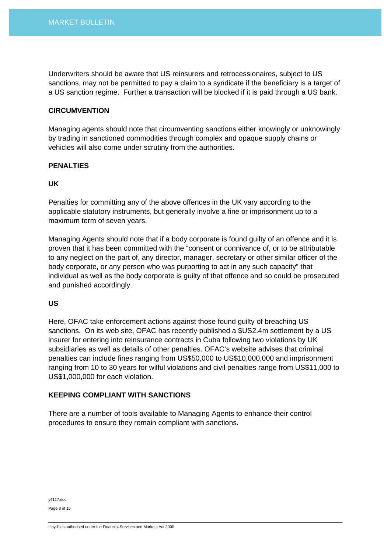Underwriters should be aware that US reinsurers and retrocessionaires, subject to US sanctions, may not be permitted to pay a claim to a syndicate if the beneficiary is a target of a US sanction regime. Further a transaction will be blocked if it is paid through a US bank.

#### **CIRCUMVENTION**

Managing agents should note that circumventing sanctions either knowingly or unknowingly by trading in sanctioned commodities through complex and opaque supply chains or vehicles will also come under scrutiny from the authorities.

## **PENALTIES**

## **UK**

Penalties for committing any of the above offences in the UK vary according to the applicable statutory instruments, but generally involve a fine or imprisonment up to a maximum term of seven years.

Managing Agents should note that if a body corporate is found guilty of an offence and it is proven that it has been committed with the "consent or connivance of, or to be attributable to any neglect on the part of, any director, manager, secretary or other similar officer of the body corporate, or any person who was purporting to act in any such capacity" that individual as well as the body corporate is guilty of that offence and so could be prosecuted and punished accordingly.

## **US**

Here, OFAC take enforcement actions against those found guilty of breaching US sanctions. On its web site, OFAC has recently published a \$US2.4m settlement by a US insurer for entering into reinsurance contracts in Cuba following two violations by UK subsidiaries as well as details of other penalties. OFAC's website advises that criminal penalties can include fines ranging from US\$50,000 to US\$10,000,000 and imprisonment ranging from 10 to 30 years for wilful violations and civil penalties range from US\$11,000 to US\$1,000,000 for each violation.

#### **KEEPING COMPLIANT WITH SANCTIONS**

There are a number of tools available to Managing Agents to enhance their control procedures to ensure they remain compliant with sanctions.

y4117.doc

Page 8 of 15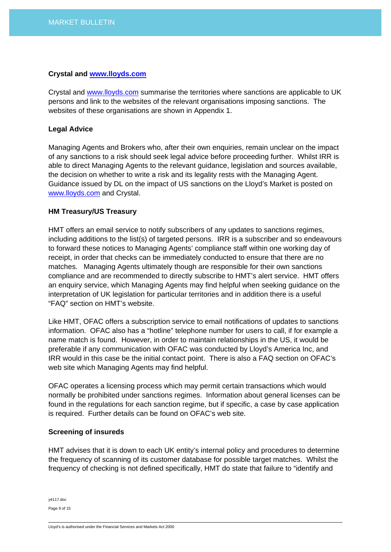#### **Crystal and [www.lloyds.com](http://www.lloyds.com/)**

Crystal and [www.lloyds.com](http://www.lloyds.com/) summarise the territories where sanctions are applicable to UK persons and link to the websites of the relevant organisations imposing sanctions. The websites of these organisations are shown in Appendix 1.

## **Legal Advice**

Managing Agents and Brokers who, after their own enquiries, remain unclear on the impact of any sanctions to a risk should seek legal advice before proceeding further. Whilst IRR is able to direct Managing Agents to the relevant guidance, legislation and sources available, the decision on whether to write a risk and its legality rests with the Managing Agent. Guidance issued by DL on the impact of US sanctions on the Lloyd's Market is posted on [www.lloyds.com](http://www.lloyds.com/) and Crystal.

## **HM Treasury/US Treasury**

HMT offers an email service to notify subscribers of any updates to sanctions regimes, including additions to the list(s) of targeted persons. IRR is a subscriber and so endeavours to forward these notices to Managing Agents' compliance staff within one working day of receipt, in order that checks can be immediately conducted to ensure that there are no matches. Managing Agents ultimately though are responsible for their own sanctions compliance and are recommended to directly subscribe to HMT's alert service. HMT offers an enquiry service, which Managing Agents may find helpful when seeking guidance on the interpretation of UK legislation for particular territories and in addition there is a useful "FAQ" section on HMT's website.

Like HMT, OFAC offers a subscription service to email notifications of updates to sanctions information. OFAC also has a "hotline" telephone number for users to call, if for example a name match is found. However, in order to maintain relationships in the US, it would be preferable if any communication with OFAC was conducted by Lloyd's America Inc, and IRR would in this case be the initial contact point. There is also a FAQ section on OFAC's web site which Managing Agents may find helpful.

OFAC operates a licensing process which may permit certain transactions which would normally be prohibited under sanctions regimes. Information about general licenses can be found in the regulations for each sanction regime, but if specific, a case by case application is required. Further details can be found on OFAC's web site.

#### **Screening of insureds**

HMT advises that it is down to each UK entity's internal policy and procedures to determine the frequency of scanning of its customer database for possible target matches. Whilst the frequency of checking is not defined specifically, HMT do state that failure to "identify and

y4117.doc Page 9 of 15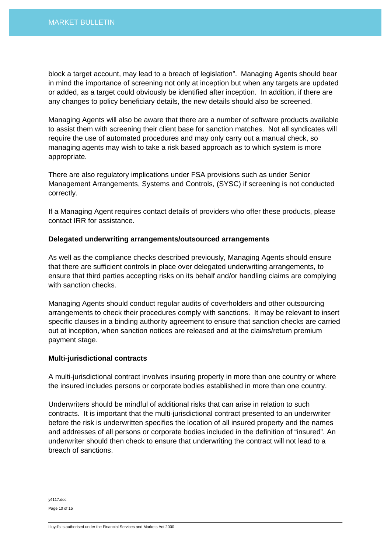block a target account, may lead to a breach of legislation". Managing Agents should bear in mind the importance of screening not only at inception but when any targets are updated or added, as a target could obviously be identified after inception. In addition, if there are any changes to policy beneficiary details, the new details should also be screened.

Managing Agents will also be aware that there are a number of software products available to assist them with screening their client base for sanction matches. Not all syndicates will require the use of automated procedures and may only carry out a manual check, so managing agents may wish to take a risk based approach as to which system is more appropriate.

There are also regulatory implications under FSA provisions such as under Senior Management Arrangements, Systems and Controls, (SYSC) if screening is not conducted correctly.

If a Managing Agent requires contact details of providers who offer these products, please contact IRR for assistance.

#### **Delegated underwriting arrangements/outsourced arrangements**

As well as the compliance checks described previously, Managing Agents should ensure that there are sufficient controls in place over delegated underwriting arrangements, to ensure that third parties accepting risks on its behalf and/or handling claims are complying with sanction checks.

Managing Agents should conduct regular audits of coverholders and other outsourcing arrangements to check their procedures comply with sanctions. It may be relevant to insert specific clauses in a binding authority agreement to ensure that sanction checks are carried out at inception, when sanction notices are released and at the claims/return premium payment stage.

#### **Multi-jurisdictional contracts**

A multi-jurisdictional contract involves insuring property in more than one country or where the insured includes persons or corporate bodies established in more than one country.

Underwriters should be mindful of additional risks that can arise in relation to such contracts. It is important that the multi-jurisdictional contract presented to an underwriter before the risk is underwritten specifies the location of all insured property and the names and addresses of all persons or corporate bodies included in the definition of "insured". An underwriter should then check to ensure that underwriting the contract will not lead to a breach of sanctions.

y4117.doc Page 10 of 15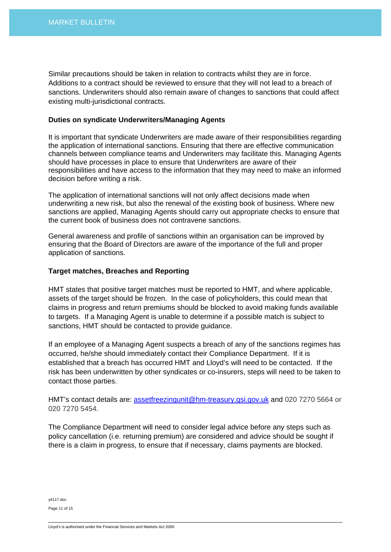Similar precautions should be taken in relation to contracts whilst they are in force. Additions to a contract should be reviewed to ensure that they will not lead to a breach of sanctions. Underwriters should also remain aware of changes to sanctions that could affect existing multi-jurisdictional contracts.

#### **Duties on syndicate Underwriters/Managing Agents**

It is important that syndicate Underwriters are made aware of their responsibilities regarding the application of international sanctions. Ensuring that there are effective communication channels between compliance teams and Underwriters may facilitate this. Managing Agents should have processes in place to ensure that Underwriters are aware of their responsibilities and have access to the information that they may need to make an informed decision before writing a risk.

The application of international sanctions will not only affect decisions made when underwriting a new risk, but also the renewal of the existing book of business. Where new sanctions are applied, Managing Agents should carry out appropriate checks to ensure that the current book of business does not contravene sanctions.

General awareness and profile of sanctions within an organisation can be improved by ensuring that the Board of Directors are aware of the importance of the full and proper application of sanctions.

#### **Target matches, Breaches and Reporting**

HMT states that positive target matches must be reported to HMT, and where applicable, assets of the target should be frozen. In the case of policyholders, this could mean that claims in progress and return premiums should be blocked to avoid making funds available to targets. If a Managing Agent is unable to determine if a possible match is subject to sanctions, HMT should be contacted to provide guidance.

If an employee of a Managing Agent suspects a breach of any of the sanctions regimes has occurred, he/she should immediately contact their Compliance Department. If it is established that a breach has occurred HMT and Lloyd's will need to be contacted. If the risk has been underwritten by other syndicates or co-insurers, steps will need to be taken to contact those parties.

HMT's contact details are: [assetfreezingunit@hm-treasury.gsi.gov.uk](mailto:assetfreezingunit@hm-treasury.gsi.gov.uk) and 020 7270 5664 or 020 7270 5454.

The Compliance Department will need to consider legal advice before any steps such as policy cancellation (i.e. returning premium) are considered and advice should be sought if there is a claim in progress, to ensure that if necessary, claims payments are blocked.

y4117.doc Page 11 of 15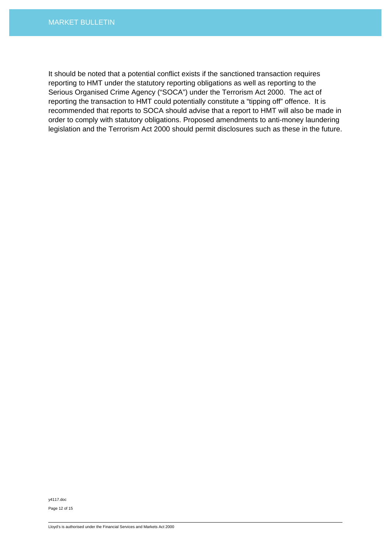It should be noted that a potential conflict exists if the sanctioned transaction requires reporting to HMT under the statutory reporting obligations as well as reporting to the Serious Organised Crime Agency ("SOCA") under the Terrorism Act 2000. The act of reporting the transaction to HMT could potentially constitute a "tipping off" offence. It is recommended that reports to SOCA should advise that a report to HMT will also be made in order to comply with statutory obligations. Proposed amendments to anti-money laundering legislation and the Terrorism Act 2000 should permit disclosures such as these in the future.

y4117.doc

Page 12 of 15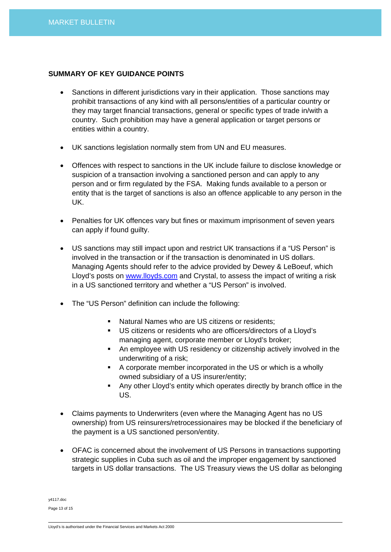## **SUMMARY OF KEY GUIDANCE POINTS**

- Sanctions in different jurisdictions vary in their application. Those sanctions may prohibit transactions of any kind with all persons/entities of a particular country or they may target financial transactions, general or specific types of trade in/with a country. Such prohibition may have a general application or target persons or entities within a country.
- UK sanctions legislation normally stem from UN and EU measures.
- Offences with respect to sanctions in the UK include failure to disclose knowledge or suspicion of a transaction involving a sanctioned person and can apply to any person and or firm regulated by the FSA. Making funds available to a person or entity that is the target of sanctions is also an offence applicable to any person in the UK.
- Penalties for UK offences vary but fines or maximum imprisonment of seven years can apply if found guilty.
- US sanctions may still impact upon and restrict UK transactions if a "US Person" is involved in the transaction or if the transaction is denominated in US dollars. Managing Agents should refer to the advice provided by Dewey & LeBoeuf, which Lloyd's posts on [www.lloyds.com](http://www.lloyds.com/) and Crystal, to assess the impact of writing a risk in a US sanctioned territory and whether a "US Person" is involved.
- The "US Person" definition can include the following:
	- Natural Names who are US citizens or residents;
	- US citizens or residents who are officers/directors of a Lloyd's managing agent, corporate member or Lloyd's broker;
	- An employee with US residency or citizenship actively involved in the underwriting of a risk;
	- A corporate member incorporated in the US or which is a wholly owned subsidiary of a US insurer/entity;
	- Any other Lloyd's entity which operates directly by branch office in the US.
- Claims payments to Underwriters (even where the Managing Agent has no US ownership) from US reinsurers/retrocessionaires may be blocked if the beneficiary of the payment is a US sanctioned person/entity.
- OFAC is concerned about the involvement of US Persons in transactions supporting strategic supplies in Cuba such as oil and the improper engagement by sanctioned targets in US dollar transactions. The US Treasury views the US dollar as belonging

y4117.doc Page 13 of 15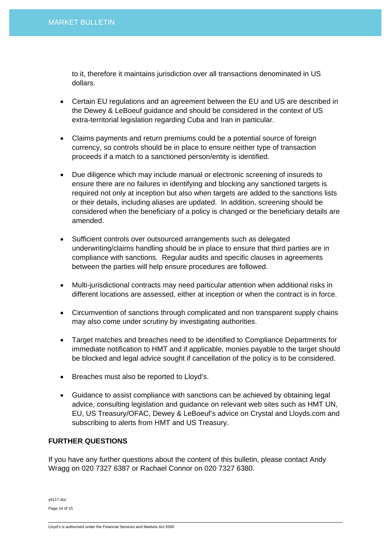to it, therefore it maintains jurisdiction over all transactions denominated in US dollars.

- Certain EU regulations and an agreement between the EU and US are described in the Dewey & LeBoeuf guidance and should be considered in the context of US extra-territorial legislation regarding Cuba and Iran in particular.
- Claims payments and return premiums could be a potential source of foreign currency, so controls should be in place to ensure neither type of transaction proceeds if a match to a sanctioned person/entity is identified.
- Due diligence which may include manual or electronic screening of insureds to ensure there are no failures in identifying and blocking any sanctioned targets is required not only at inception but also when targets are added to the sanctions lists or their details, including aliases are updated. In addition, screening should be considered when the beneficiary of a policy is changed or the beneficiary details are amended.
- Sufficient controls over outsourced arrangements such as delegated underwriting/claims handling should be in place to ensure that third parties are in compliance with sanctions. Regular audits and specific clauses in agreements between the parties will help ensure procedures are followed.
- Multi-jurisdictional contracts may need particular attention when additional risks in different locations are assessed, either at inception or when the contract is in force.
- Circumvention of sanctions through complicated and non transparent supply chains may also come under scrutiny by investigating authorities.
- Target matches and breaches need to be identified to Compliance Departments for immediate notification to HMT and if applicable, monies payable to the target should be blocked and legal advice sought if cancellation of the policy is to be considered.
- Breaches must also be reported to Lloyd's.
- Guidance to assist compliance with sanctions can be achieved by obtaining legal advice, consulting legislation and guidance on relevant web sites such as HMT UN, EU, US Treasury/OFAC, Dewey & LeBoeuf's advice on Crystal and Lloyds.com and subscribing to alerts from HMT and US Treasury.

## **FURTHER QUESTIONS**

If you have any further questions about the content of this bulletin, please contact Andy Wragg on 020 7327 6387 or Rachael Connor on 020 7327 6380.

y4117.doc Page 14 of 15